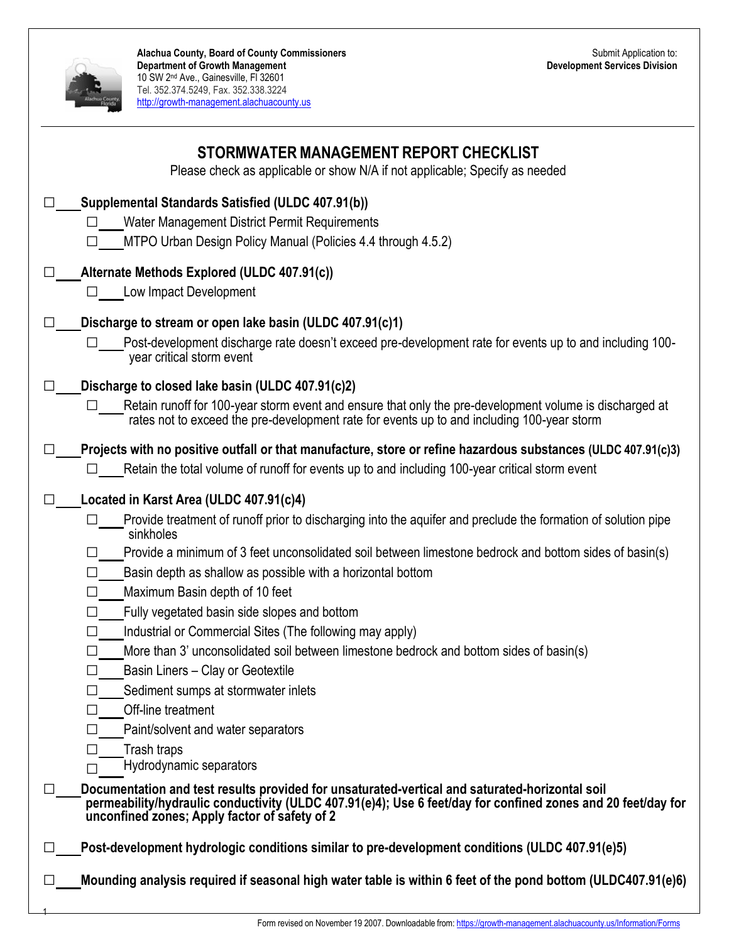

| STORMWATER MANAGEMENT REPORT CHECKLIST<br>Please check as applicable or show N/A if not applicable; Specify as needed                                                                                                                                                                                                                                                                                                                                                                                                                                                                                                                                                                                                                                                                                                                                                                                                                                                                                                                                             |  |
|-------------------------------------------------------------------------------------------------------------------------------------------------------------------------------------------------------------------------------------------------------------------------------------------------------------------------------------------------------------------------------------------------------------------------------------------------------------------------------------------------------------------------------------------------------------------------------------------------------------------------------------------------------------------------------------------------------------------------------------------------------------------------------------------------------------------------------------------------------------------------------------------------------------------------------------------------------------------------------------------------------------------------------------------------------------------|--|
| Supplemental Standards Satisfied (ULDC 407.91(b))<br>Water Management District Permit Requirements<br>MTPO Urban Design Policy Manual (Policies 4.4 through 4.5.2)                                                                                                                                                                                                                                                                                                                                                                                                                                                                                                                                                                                                                                                                                                                                                                                                                                                                                                |  |
| Alternate Methods Explored (ULDC 407.91(c))<br>$\Box$ Low Impact Development                                                                                                                                                                                                                                                                                                                                                                                                                                                                                                                                                                                                                                                                                                                                                                                                                                                                                                                                                                                      |  |
| Discharge to stream or open lake basin (ULDC 407.91(c)1)<br>Post-development discharge rate doesn't exceed pre-development rate for events up to and including 100-<br>year critical storm event                                                                                                                                                                                                                                                                                                                                                                                                                                                                                                                                                                                                                                                                                                                                                                                                                                                                  |  |
| Discharge to closed lake basin (ULDC 407.91(c)2)<br>$\mathsf{L}$<br>Retain runoff for 100-year storm event and ensure that only the pre-development volume is discharged at<br>$\Box$<br>rates not to exceed the pre-development rate for events up to and including 100-year storm                                                                                                                                                                                                                                                                                                                                                                                                                                                                                                                                                                                                                                                                                                                                                                               |  |
| Projects with no positive outfall or that manufacture, store or refine hazardous substances (ULDC 407.91(c)3)<br>$\perp$<br>Retain the total volume of runoff for events up to and including 100-year critical storm event                                                                                                                                                                                                                                                                                                                                                                                                                                                                                                                                                                                                                                                                                                                                                                                                                                        |  |
| Located in Karst Area (ULDC 407.91(c)4)<br>Provide treatment of runoff prior to discharging into the aquifer and preclude the formation of solution pipe<br>sinkholes<br>Provide a minimum of 3 feet unconsolidated soil between limestone bedrock and bottom sides of basin(s)<br>Basin depth as shallow as possible with a horizontal bottom<br>$\Box$<br>Maximum Basin depth of 10 feet<br>$\perp$<br>Fully vegetated basin side slopes and bottom<br>Industrial or Commercial Sites (The following may apply)<br>More than 3' unconsolidated soil between limestone bedrock and bottom sides of basin(s)<br>Basin Liners - Clay or Geotextile<br>Sediment sumps at stormwater inlets<br>Off-line treatment<br>Paint/solvent and water separators<br>Trash traps<br>Hydrodynamic separators<br>Documentation and test results provided for unsaturated-vertical and saturated-horizontal soil<br>permeability/hydraulic conductivity (ULDC 407.91(e)4); Use 6 feet/day for confined zones and 20 feet/day for<br>unconfined zones; Apply factor of safety of 2 |  |
| Post-development hydrologic conditions similar to pre-development conditions (ULDC 407.91(e)5)<br>Mounding analysis required if seasonal high water table is within 6 feet of the pond bottom (ULDC407.91(e)6)                                                                                                                                                                                                                                                                                                                                                                                                                                                                                                                                                                                                                                                                                                                                                                                                                                                    |  |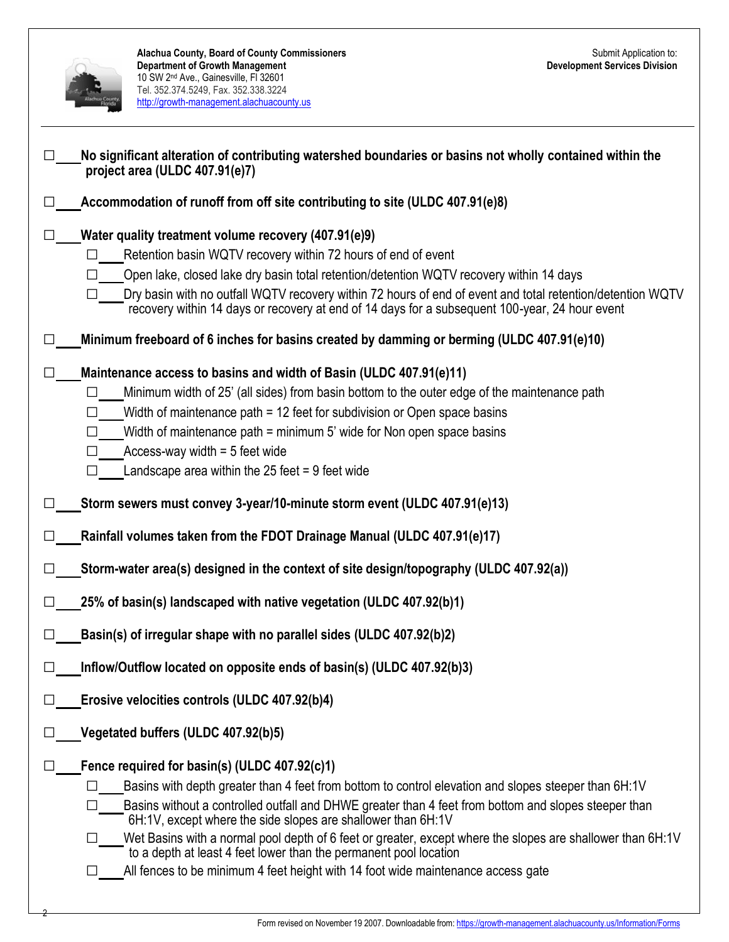|    | Alachua County, Board of County Commissioners<br><b>Department of Growth Management</b><br>10 SW 2 <sup>nd</sup> Ave., Gainesville, FI 32601<br>Tel. 352.374.5249, Fax. 352.338.3224<br>http://growth-management.alachuacounty.us                                                                                                                                                                                                                                                                                                                                                                    | Submit Application to:<br><b>Development Services Division</b> |
|----|------------------------------------------------------------------------------------------------------------------------------------------------------------------------------------------------------------------------------------------------------------------------------------------------------------------------------------------------------------------------------------------------------------------------------------------------------------------------------------------------------------------------------------------------------------------------------------------------------|----------------------------------------------------------------|
|    | No significant alteration of contributing watershed boundaries or basins not wholly contained within the<br>project area (ULDC 407.91(e)7)                                                                                                                                                                                                                                                                                                                                                                                                                                                           |                                                                |
|    | Accommodation of runoff from off site contributing to site (ULDC 407.91(e)8)                                                                                                                                                                                                                                                                                                                                                                                                                                                                                                                         |                                                                |
|    | Water quality treatment volume recovery (407.91(e)9)<br>Retention basin WQTV recovery within 72 hours of end of event<br>Open lake, closed lake dry basin total retention/detention WQTV recovery within 14 days                                                                                                                                                                                                                                                                                                                                                                                     |                                                                |
|    | Dry basin with no outfall WQTV recovery within 72 hours of end of event and total retention/detention WQTV<br>recovery within 14 days or recovery at end of 14 days for a subsequent 100-year, 24 hour event                                                                                                                                                                                                                                                                                                                                                                                         |                                                                |
|    | Minimum freeboard of 6 inches for basins created by damming or berming (ULDC 407.91(e)10)                                                                                                                                                                                                                                                                                                                                                                                                                                                                                                            |                                                                |
|    | Maintenance access to basins and width of Basin (ULDC 407.91(e)11)<br>Minimum width of 25' (all sides) from basin bottom to the outer edge of the maintenance path<br>Width of maintenance path = 12 feet for subdivision or Open space basins<br>Width of maintenance path = minimum 5' wide for Non open space basins<br>Access-way width $=$ 5 feet wide<br>Landscape area within the 25 feet $= 9$ feet wide                                                                                                                                                                                     |                                                                |
|    | Storm sewers must convey 3-year/10-minute storm event (ULDC 407.91(e)13)                                                                                                                                                                                                                                                                                                                                                                                                                                                                                                                             |                                                                |
|    | Rainfall volumes taken from the FDOT Drainage Manual (ULDC 407.91(e)17)                                                                                                                                                                                                                                                                                                                                                                                                                                                                                                                              |                                                                |
| ΙI | Storm-water area(s) designed in the context of site design/topography (ULDC 407.92(a))                                                                                                                                                                                                                                                                                                                                                                                                                                                                                                               |                                                                |
|    | 25% of basin(s) landscaped with native vegetation (ULDC 407.92(b)1)                                                                                                                                                                                                                                                                                                                                                                                                                                                                                                                                  |                                                                |
|    | Basin(s) of irregular shape with no parallel sides (ULDC 407.92(b)2)                                                                                                                                                                                                                                                                                                                                                                                                                                                                                                                                 |                                                                |
|    | Inflow/Outflow located on opposite ends of basin(s) (ULDC 407.92(b)3)                                                                                                                                                                                                                                                                                                                                                                                                                                                                                                                                |                                                                |
|    | Erosive velocities controls (ULDC 407.92(b)4)                                                                                                                                                                                                                                                                                                                                                                                                                                                                                                                                                        |                                                                |
|    | Vegetated buffers (ULDC 407.92(b)5)                                                                                                                                                                                                                                                                                                                                                                                                                                                                                                                                                                  |                                                                |
|    | Fence required for basin(s) (ULDC 407.92(c)1)<br>Basins with depth greater than 4 feet from bottom to control elevation and slopes steeper than 6H:1V<br>Basins without a controlled outfall and DHWE greater than 4 feet from bottom and slopes steeper than<br>6H:1V, except where the side slopes are shallower than 6H:1V<br>Wet Basins with a normal pool depth of 6 feet or greater, except where the slopes are shallower than 6H:1V<br>to a depth at least 4 feet lower than the permanent pool location<br>All fences to be minimum 4 feet height with 14 foot wide maintenance access gate |                                                                |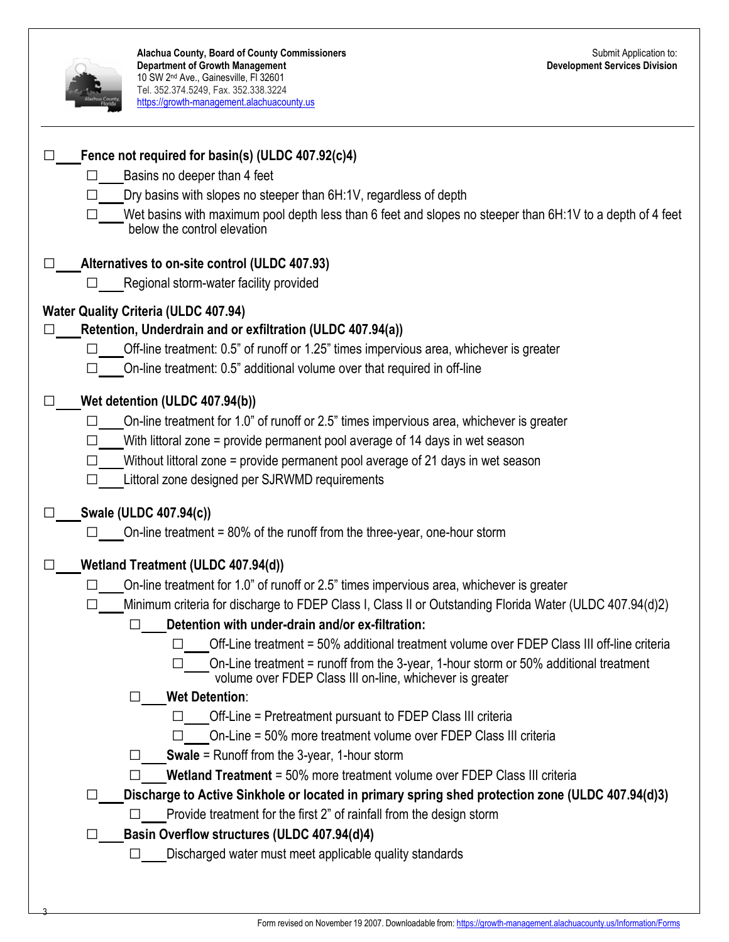|         | Alachua County, Board of County Commissioners<br><b>Department of Growth Management</b><br>10 SW 2 <sup>nd</sup> Ave., Gainesville, FI 32601<br>Tel. 352.374.5249, Fax. 352.338.3224<br>https://growth-management.alachuacounty.us                                                                                                                                                                                                                                                                                                                                                                                                                                                                                                                                                                                                                                                                                                                                                                                                                                                                                                                                                                     | Submit Application to:<br><b>Development Services Division</b> |
|---------|--------------------------------------------------------------------------------------------------------------------------------------------------------------------------------------------------------------------------------------------------------------------------------------------------------------------------------------------------------------------------------------------------------------------------------------------------------------------------------------------------------------------------------------------------------------------------------------------------------------------------------------------------------------------------------------------------------------------------------------------------------------------------------------------------------------------------------------------------------------------------------------------------------------------------------------------------------------------------------------------------------------------------------------------------------------------------------------------------------------------------------------------------------------------------------------------------------|----------------------------------------------------------------|
|         | Fence not required for basin(s) (ULDC 407.92(c)4)<br>Basins no deeper than 4 feet<br>Dry basins with slopes no steeper than 6H:1V, regardless of depth<br>$\Box$ Wet basins with maximum pool depth less than 6 feet and slopes no steeper than 6H:1V to a depth of 4 feet<br>below the control elevation                                                                                                                                                                                                                                                                                                                                                                                                                                                                                                                                                                                                                                                                                                                                                                                                                                                                                              |                                                                |
|         | Alternatives to on-site control (ULDC 407.93)<br>Regional storm-water facility provided                                                                                                                                                                                                                                                                                                                                                                                                                                                                                                                                                                                                                                                                                                                                                                                                                                                                                                                                                                                                                                                                                                                |                                                                |
|         | <b>Water Quality Criteria (ULDC 407.94)</b><br>Retention, Underdrain and or exfiltration (ULDC 407.94(a))<br>Off-line treatment: 0.5" of runoff or 1.25" times impervious area, whichever is greater<br>On-line treatment: 0.5" additional volume over that required in off-line                                                                                                                                                                                                                                                                                                                                                                                                                                                                                                                                                                                                                                                                                                                                                                                                                                                                                                                       |                                                                |
|         | Wet detention (ULDC 407.94(b))<br>On-line treatment for 1.0" of runoff or 2.5" times impervious area, whichever is greater<br>$\Box$<br>With littoral zone = provide permanent pool average of 14 days in wet season<br>Without littoral zone = provide permanent pool average of 21 days in wet season<br>Littoral zone designed per SJRWMD requirements                                                                                                                                                                                                                                                                                                                                                                                                                                                                                                                                                                                                                                                                                                                                                                                                                                              |                                                                |
|         | Swale (ULDC 407.94(c))<br>On-line treatment = 80% of the runoff from the three-year, one-hour storm                                                                                                                                                                                                                                                                                                                                                                                                                                                                                                                                                                                                                                                                                                                                                                                                                                                                                                                                                                                                                                                                                                    |                                                                |
| $\perp$ | Wetland Treatment (ULDC 407.94(d))<br>On-line treatment for 1.0" of runoff or 2.5" times impervious area, whichever is greater<br>$\Box$<br>Minimum criteria for discharge to FDEP Class I, Class II or Outstanding Florida Water (ULDC 407.94(d)2)<br>Detention with under-drain and/or ex-filtration:<br>П<br>Off-Line treatment = 50% additional treatment volume over FDEP Class III off-line criteria<br>On-Line treatment = runoff from the 3-year, 1-hour storm or 50% additional treatment<br>volume over FDEP Class III on-line, whichever is greater<br><b>Wet Detention:</b><br>$\perp$<br>Off-Line = Pretreatment pursuant to FDEP Class III criteria<br>On-Line = 50% more treatment volume over FDEP Class III criteria<br>$\mathsf{L}$<br><b>Swale</b> = Runoff from the 3-year, 1-hour storm<br>Wetland Treatment = 50% more treatment volume over FDEP Class III criteria<br>Discharge to Active Sinkhole or located in primary spring shed protection zone (ULDC 407.94(d)3)<br>$\perp$<br>Provide treatment for the first 2" of rainfall from the design storm<br>ΙI<br>Basin Overflow structures (ULDC 407.94(d)4)<br>ப<br>Discharged water must meet applicable quality standards |                                                                |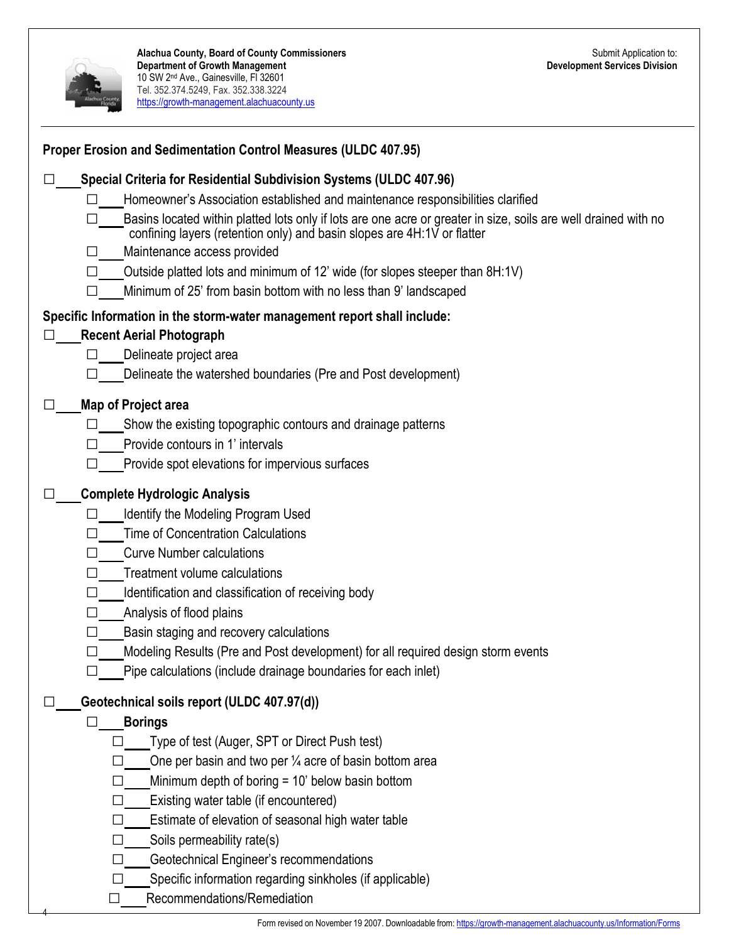

| Homeowner's Association established and maintenance responsibilities clarified<br>Basins located within platted lots only if lots are one acre or greater in size, soils are well drained with no<br>confining layers (retention only) and basin slopes are 4H:1V or flatter<br>Maintenance access provided<br>Outside platted lots and minimum of 12' wide (for slopes steeper than 8H:1V)<br>Minimum of 25' from basin bottom with no less than 9' landscaped<br>Specific Information in the storm-water management report shall include:<br><b>Recent Aerial Photograph</b><br>П<br>Delineate project area<br>$\perp$<br>Delineate the watershed boundaries (Pre and Post development)<br>Map of Project area<br>$\Box$<br>Show the existing topographic contours and drainage patterns<br>Provide contours in 1' intervals<br>Provide spot elevations for impervious surfaces<br><b>Complete Hydrologic Analysis</b><br>$\Box$<br>Identify the Modeling Program Used<br>Time of Concentration Calculations |  |
|----------------------------------------------------------------------------------------------------------------------------------------------------------------------------------------------------------------------------------------------------------------------------------------------------------------------------------------------------------------------------------------------------------------------------------------------------------------------------------------------------------------------------------------------------------------------------------------------------------------------------------------------------------------------------------------------------------------------------------------------------------------------------------------------------------------------------------------------------------------------------------------------------------------------------------------------------------------------------------------------------------------|--|
|                                                                                                                                                                                                                                                                                                                                                                                                                                                                                                                                                                                                                                                                                                                                                                                                                                                                                                                                                                                                                |  |
|                                                                                                                                                                                                                                                                                                                                                                                                                                                                                                                                                                                                                                                                                                                                                                                                                                                                                                                                                                                                                |  |
|                                                                                                                                                                                                                                                                                                                                                                                                                                                                                                                                                                                                                                                                                                                                                                                                                                                                                                                                                                                                                |  |
|                                                                                                                                                                                                                                                                                                                                                                                                                                                                                                                                                                                                                                                                                                                                                                                                                                                                                                                                                                                                                |  |
|                                                                                                                                                                                                                                                                                                                                                                                                                                                                                                                                                                                                                                                                                                                                                                                                                                                                                                                                                                                                                |  |
|                                                                                                                                                                                                                                                                                                                                                                                                                                                                                                                                                                                                                                                                                                                                                                                                                                                                                                                                                                                                                |  |
|                                                                                                                                                                                                                                                                                                                                                                                                                                                                                                                                                                                                                                                                                                                                                                                                                                                                                                                                                                                                                |  |
|                                                                                                                                                                                                                                                                                                                                                                                                                                                                                                                                                                                                                                                                                                                                                                                                                                                                                                                                                                                                                |  |
|                                                                                                                                                                                                                                                                                                                                                                                                                                                                                                                                                                                                                                                                                                                                                                                                                                                                                                                                                                                                                |  |
|                                                                                                                                                                                                                                                                                                                                                                                                                                                                                                                                                                                                                                                                                                                                                                                                                                                                                                                                                                                                                |  |
|                                                                                                                                                                                                                                                                                                                                                                                                                                                                                                                                                                                                                                                                                                                                                                                                                                                                                                                                                                                                                |  |
|                                                                                                                                                                                                                                                                                                                                                                                                                                                                                                                                                                                                                                                                                                                                                                                                                                                                                                                                                                                                                |  |
|                                                                                                                                                                                                                                                                                                                                                                                                                                                                                                                                                                                                                                                                                                                                                                                                                                                                                                                                                                                                                |  |
|                                                                                                                                                                                                                                                                                                                                                                                                                                                                                                                                                                                                                                                                                                                                                                                                                                                                                                                                                                                                                |  |
|                                                                                                                                                                                                                                                                                                                                                                                                                                                                                                                                                                                                                                                                                                                                                                                                                                                                                                                                                                                                                |  |
|                                                                                                                                                                                                                                                                                                                                                                                                                                                                                                                                                                                                                                                                                                                                                                                                                                                                                                                                                                                                                |  |
| <b>Curve Number calculations</b>                                                                                                                                                                                                                                                                                                                                                                                                                                                                                                                                                                                                                                                                                                                                                                                                                                                                                                                                                                               |  |
| Treatment volume calculations                                                                                                                                                                                                                                                                                                                                                                                                                                                                                                                                                                                                                                                                                                                                                                                                                                                                                                                                                                                  |  |
| Identification and classification of receiving body                                                                                                                                                                                                                                                                                                                                                                                                                                                                                                                                                                                                                                                                                                                                                                                                                                                                                                                                                            |  |
| Analysis of flood plains<br>$\mathsf{L}$                                                                                                                                                                                                                                                                                                                                                                                                                                                                                                                                                                                                                                                                                                                                                                                                                                                                                                                                                                       |  |
| Basin staging and recovery calculations<br>$\Box$                                                                                                                                                                                                                                                                                                                                                                                                                                                                                                                                                                                                                                                                                                                                                                                                                                                                                                                                                              |  |
| Modeling Results (Pre and Post development) for all required design storm events                                                                                                                                                                                                                                                                                                                                                                                                                                                                                                                                                                                                                                                                                                                                                                                                                                                                                                                               |  |
| Pipe calculations (include drainage boundaries for each inlet)                                                                                                                                                                                                                                                                                                                                                                                                                                                                                                                                                                                                                                                                                                                                                                                                                                                                                                                                                 |  |
| Geotechnical soils report (ULDC 407.97(d))                                                                                                                                                                                                                                                                                                                                                                                                                                                                                                                                                                                                                                                                                                                                                                                                                                                                                                                                                                     |  |
| <b>Borings</b>                                                                                                                                                                                                                                                                                                                                                                                                                                                                                                                                                                                                                                                                                                                                                                                                                                                                                                                                                                                                 |  |
| Type of test (Auger, SPT or Direct Push test)                                                                                                                                                                                                                                                                                                                                                                                                                                                                                                                                                                                                                                                                                                                                                                                                                                                                                                                                                                  |  |
| One per basin and two per $\frac{1}{4}$ acre of basin bottom area                                                                                                                                                                                                                                                                                                                                                                                                                                                                                                                                                                                                                                                                                                                                                                                                                                                                                                                                              |  |
| Minimum depth of boring $= 10'$ below basin bottom                                                                                                                                                                                                                                                                                                                                                                                                                                                                                                                                                                                                                                                                                                                                                                                                                                                                                                                                                             |  |
| Existing water table (if encountered)                                                                                                                                                                                                                                                                                                                                                                                                                                                                                                                                                                                                                                                                                                                                                                                                                                                                                                                                                                          |  |
| Estimate of elevation of seasonal high water table                                                                                                                                                                                                                                                                                                                                                                                                                                                                                                                                                                                                                                                                                                                                                                                                                                                                                                                                                             |  |
| Soils permeability rate(s)                                                                                                                                                                                                                                                                                                                                                                                                                                                                                                                                                                                                                                                                                                                                                                                                                                                                                                                                                                                     |  |
| Geotechnical Engineer's recommendations                                                                                                                                                                                                                                                                                                                                                                                                                                                                                                                                                                                                                                                                                                                                                                                                                                                                                                                                                                        |  |
| Specific information regarding sinkholes (if applicable)                                                                                                                                                                                                                                                                                                                                                                                                                                                                                                                                                                                                                                                                                                                                                                                                                                                                                                                                                       |  |
| Recommendations/Remediation<br>$\mathsf{L}$                                                                                                                                                                                                                                                                                                                                                                                                                                                                                                                                                                                                                                                                                                                                                                                                                                                                                                                                                                    |  |